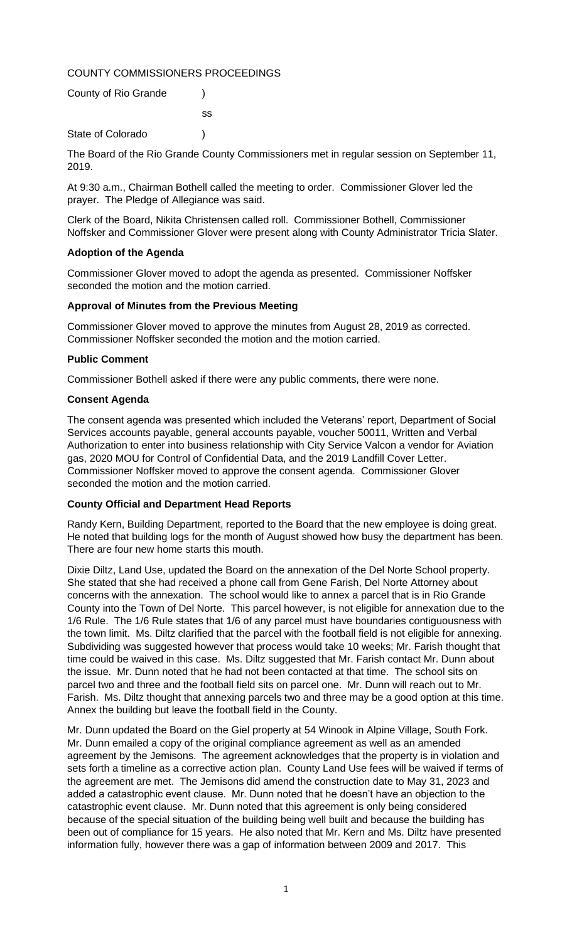# COUNTY COMMISSIONERS PROCEEDINGS

| County of Rio Grande |    |
|----------------------|----|
|                      | SS |
| State of Colorado    |    |

The Board of the Rio Grande County Commissioners met in regular session on September 11, 2019.

At 9:30 a.m., Chairman Bothell called the meeting to order. Commissioner Glover led the prayer. The Pledge of Allegiance was said.

Clerk of the Board, Nikita Christensen called roll. Commissioner Bothell, Commissioner Noffsker and Commissioner Glover were present along with County Administrator Tricia Slater.

# **Adoption of the Agenda**

Commissioner Glover moved to adopt the agenda as presented. Commissioner Noffsker seconded the motion and the motion carried.

# **Approval of Minutes from the Previous Meeting**

Commissioner Glover moved to approve the minutes from August 28, 2019 as corrected. Commissioner Noffsker seconded the motion and the motion carried.

# **Public Comment**

Commissioner Bothell asked if there were any public comments, there were none.

# **Consent Agenda**

The consent agenda was presented which included the Veterans' report, Department of Social Services accounts payable, general accounts payable, voucher 50011, Written and Verbal Authorization to enter into business relationship with City Service Valcon a vendor for Aviation gas, 2020 MOU for Control of Confidential Data, and the 2019 Landfill Cover Letter. Commissioner Noffsker moved to approve the consent agenda. Commissioner Glover seconded the motion and the motion carried.

# **County Official and Department Head Reports**

Randy Kern, Building Department, reported to the Board that the new employee is doing great. He noted that building logs for the month of August showed how busy the department has been. There are four new home starts this mouth.

Dixie Diltz, Land Use, updated the Board on the annexation of the Del Norte School property. She stated that she had received a phone call from Gene Farish, Del Norte Attorney about concerns with the annexation. The school would like to annex a parcel that is in Rio Grande County into the Town of Del Norte. This parcel however, is not eligible for annexation due to the 1/6 Rule. The 1/6 Rule states that 1/6 of any parcel must have boundaries contiguousness with the town limit. Ms. Diltz clarified that the parcel with the football field is not eligible for annexing. Subdividing was suggested however that process would take 10 weeks; Mr. Farish thought that time could be waived in this case. Ms. Diltz suggested that Mr. Farish contact Mr. Dunn about the issue. Mr. Dunn noted that he had not been contacted at that time. The school sits on parcel two and three and the football field sits on parcel one. Mr. Dunn will reach out to Mr. Farish. Ms. Diltz thought that annexing parcels two and three may be a good option at this time. Annex the building but leave the football field in the County.

Mr. Dunn updated the Board on the Giel property at 54 Winook in Alpine Village, South Fork. Mr. Dunn emailed a copy of the original compliance agreement as well as an amended agreement by the Jemisons. The agreement acknowledges that the property is in violation and sets forth a timeline as a corrective action plan. County Land Use fees will be waived if terms of the agreement are met. The Jemisons did amend the construction date to May 31, 2023 and added a catastrophic event clause. Mr. Dunn noted that he doesn't have an objection to the catastrophic event clause. Mr. Dunn noted that this agreement is only being considered because of the special situation of the building being well built and because the building has been out of compliance for 15 years. He also noted that Mr. Kern and Ms. Diltz have presented information fully, however there was a gap of information between 2009 and 2017. This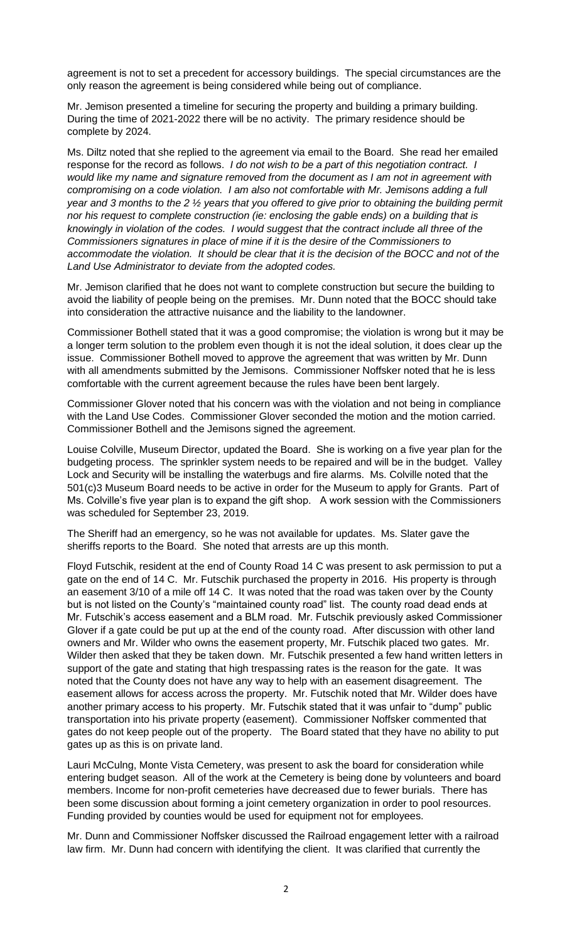agreement is not to set a precedent for accessory buildings. The special circumstances are the only reason the agreement is being considered while being out of compliance.

Mr. Jemison presented a timeline for securing the property and building a primary building. During the time of 2021-2022 there will be no activity. The primary residence should be complete by 2024.

Ms. Diltz noted that she replied to the agreement via email to the Board. She read her emailed response for the record as follows. *I do not wish to be a part of this negotiation contract. I would like my name and signature removed from the document as I am not in agreement with compromising on a code violation. I am also not comfortable with Mr. Jemisons adding a full year and 3 months to the 2 ½ years that you offered to give prior to obtaining the building permit nor his request to complete construction (ie: enclosing the gable ends) on a building that is knowingly in violation of the codes. I would suggest that the contract include all three of the Commissioners signatures in place of mine if it is the desire of the Commissioners to accommodate the violation. It should be clear that it is the decision of the BOCC and not of the Land Use Administrator to deviate from the adopted codes.*

Mr. Jemison clarified that he does not want to complete construction but secure the building to avoid the liability of people being on the premises. Mr. Dunn noted that the BOCC should take into consideration the attractive nuisance and the liability to the landowner.

Commissioner Bothell stated that it was a good compromise; the violation is wrong but it may be a longer term solution to the problem even though it is not the ideal solution, it does clear up the issue. Commissioner Bothell moved to approve the agreement that was written by Mr. Dunn with all amendments submitted by the Jemisons. Commissioner Noffsker noted that he is less comfortable with the current agreement because the rules have been bent largely.

Commissioner Glover noted that his concern was with the violation and not being in compliance with the Land Use Codes. Commissioner Glover seconded the motion and the motion carried. Commissioner Bothell and the Jemisons signed the agreement.

Louise Colville, Museum Director, updated the Board. She is working on a five year plan for the budgeting process. The sprinkler system needs to be repaired and will be in the budget. Valley Lock and Security will be installing the waterbugs and fire alarms. Ms. Colville noted that the 501(c)3 Museum Board needs to be active in order for the Museum to apply for Grants. Part of Ms. Colville's five year plan is to expand the gift shop. A work session with the Commissioners was scheduled for September 23, 2019.

The Sheriff had an emergency, so he was not available for updates. Ms. Slater gave the sheriffs reports to the Board. She noted that arrests are up this month.

Floyd Futschik, resident at the end of County Road 14 C was present to ask permission to put a gate on the end of 14 C. Mr. Futschik purchased the property in 2016. His property is through an easement 3/10 of a mile off 14 C. It was noted that the road was taken over by the County but is not listed on the County's "maintained county road" list. The county road dead ends at Mr. Futschik's access easement and a BLM road. Mr. Futschik previously asked Commissioner Glover if a gate could be put up at the end of the county road. After discussion with other land owners and Mr. Wilder who owns the easement property, Mr. Futschik placed two gates. Mr. Wilder then asked that they be taken down. Mr. Futschik presented a few hand written letters in support of the gate and stating that high trespassing rates is the reason for the gate. It was noted that the County does not have any way to help with an easement disagreement. The easement allows for access across the property. Mr. Futschik noted that Mr. Wilder does have another primary access to his property. Mr. Futschik stated that it was unfair to "dump" public transportation into his private property (easement). Commissioner Noffsker commented that gates do not keep people out of the property. The Board stated that they have no ability to put gates up as this is on private land.

Lauri McCulng, Monte Vista Cemetery, was present to ask the board for consideration while entering budget season. All of the work at the Cemetery is being done by volunteers and board members. Income for non-profit cemeteries have decreased due to fewer burials. There has been some discussion about forming a joint cemetery organization in order to pool resources. Funding provided by counties would be used for equipment not for employees.

Mr. Dunn and Commissioner Noffsker discussed the Railroad engagement letter with a railroad law firm. Mr. Dunn had concern with identifying the client. It was clarified that currently the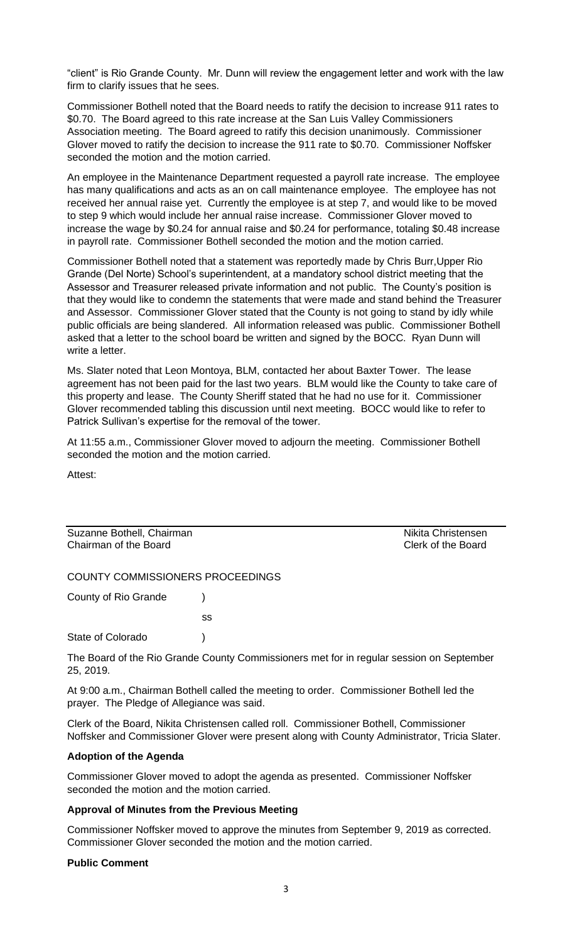"client" is Rio Grande County. Mr. Dunn will review the engagement letter and work with the law firm to clarify issues that he sees.

Commissioner Bothell noted that the Board needs to ratify the decision to increase 911 rates to \$0.70. The Board agreed to this rate increase at the San Luis Valley Commissioners Association meeting. The Board agreed to ratify this decision unanimously. Commissioner Glover moved to ratify the decision to increase the 911 rate to \$0.70. Commissioner Noffsker seconded the motion and the motion carried.

An employee in the Maintenance Department requested a payroll rate increase. The employee has many qualifications and acts as an on call maintenance employee. The employee has not received her annual raise yet. Currently the employee is at step 7, and would like to be moved to step 9 which would include her annual raise increase. Commissioner Glover moved to increase the wage by \$0.24 for annual raise and \$0.24 for performance, totaling \$0.48 increase in payroll rate. Commissioner Bothell seconded the motion and the motion carried.

Commissioner Bothell noted that a statement was reportedly made by Chris Burr,Upper Rio Grande (Del Norte) School's superintendent, at a mandatory school district meeting that the Assessor and Treasurer released private information and not public. The County's position is that they would like to condemn the statements that were made and stand behind the Treasurer and Assessor. Commissioner Glover stated that the County is not going to stand by idly while public officials are being slandered. All information released was public. Commissioner Bothell asked that a letter to the school board be written and signed by the BOCC. Ryan Dunn will write a letter.

Ms. Slater noted that Leon Montoya, BLM, contacted her about Baxter Tower. The lease agreement has not been paid for the last two years. BLM would like the County to take care of this property and lease. The County Sheriff stated that he had no use for it. Commissioner Glover recommended tabling this discussion until next meeting. BOCC would like to refer to Patrick Sullivan's expertise for the removal of the tower.

At 11:55 a.m., Commissioner Glover moved to adjourn the meeting. Commissioner Bothell seconded the motion and the motion carried.

Attest:

Suzanne Bothell, Chairman Nikita Christensen<br>
Chairman of the Board<br>
Clerk of the Board Chairman of the Board

# COUNTY COMMISSIONERS PROCEEDINGS

ss

County of Rio Grande )

State of Colorado (a)

The Board of the Rio Grande County Commissioners met for in regular session on September 25, 2019.

At 9:00 a.m., Chairman Bothell called the meeting to order. Commissioner Bothell led the prayer. The Pledge of Allegiance was said.

Clerk of the Board, Nikita Christensen called roll. Commissioner Bothell, Commissioner Noffsker and Commissioner Glover were present along with County Administrator, Tricia Slater.

#### **Adoption of the Agenda**

Commissioner Glover moved to adopt the agenda as presented. Commissioner Noffsker seconded the motion and the motion carried.

#### **Approval of Minutes from the Previous Meeting**

Commissioner Noffsker moved to approve the minutes from September 9, 2019 as corrected. Commissioner Glover seconded the motion and the motion carried.

#### **Public Comment**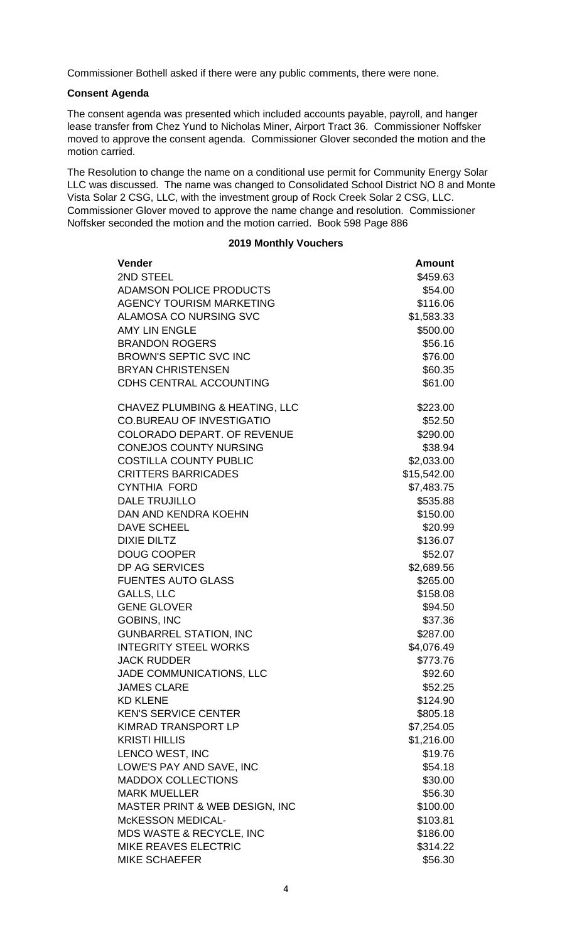Commissioner Bothell asked if there were any public comments, there were none.

# **Consent Agenda**

The consent agenda was presented which included accounts payable, payroll, and hanger lease transfer from Chez Yund to Nicholas Miner, Airport Tract 36. Commissioner Noffsker moved to approve the consent agenda. Commissioner Glover seconded the motion and the motion carried.

The Resolution to change the name on a conditional use permit for Community Energy Solar LLC was discussed. The name was changed to Consolidated School District NO 8 and Monte Vista Solar 2 CSG, LLC, with the investment group of Rock Creek Solar 2 CSG, LLC. Commissioner Glover moved to approve the name change and resolution. Commissioner Noffsker seconded the motion and the motion carried. Book 598 Page 886

# **2019 Monthly Vouchers**

| <b>Vender</b>                             | <b>Amount</b> |
|-------------------------------------------|---------------|
| 2ND STEEL                                 | \$459.63      |
| <b>ADAMSON POLICE PRODUCTS</b>            | \$54.00       |
| <b>AGENCY TOURISM MARKETING</b>           | \$116.06      |
| <b>ALAMOSA CO NURSING SVC</b>             | \$1,583.33    |
| <b>AMY LIN ENGLE</b>                      | \$500.00      |
| <b>BRANDON ROGERS</b>                     | \$56.16       |
| <b>BROWN'S SEPTIC SVC INC</b>             | \$76.00       |
| <b>BRYAN CHRISTENSEN</b>                  | \$60.35       |
| CDHS CENTRAL ACCOUNTING                   | \$61.00       |
| CHAVEZ PLUMBING & HEATING, LLC            | \$223.00      |
| <b>CO.BUREAU OF INVESTIGATIO</b>          | \$52.50       |
| <b>COLORADO DEPART. OF REVENUE</b>        | \$290.00      |
| <b>CONEJOS COUNTY NURSING</b>             | \$38.94       |
| <b>COSTILLA COUNTY PUBLIC</b>             | \$2,033.00    |
| <b>CRITTERS BARRICADES</b>                | \$15,542.00   |
| <b>CYNTHIA FORD</b>                       | \$7,483.75    |
| <b>DALE TRUJILLO</b>                      | \$535.88      |
| DAN AND KENDRA KOEHN                      | \$150.00      |
| <b>DAVE SCHEEL</b>                        | \$20.99       |
| <b>DIXIE DILTZ</b>                        | \$136.07      |
| <b>DOUG COOPER</b>                        | \$52.07       |
| DP AG SERVICES                            | \$2,689.56    |
| <b>FUENTES AUTO GLASS</b>                 | \$265.00      |
| <b>GALLS, LLC</b>                         | \$158.08      |
| <b>GENE GLOVER</b>                        | \$94.50       |
| <b>GOBINS, INC</b>                        | \$37.36       |
| <b>GUNBARREL STATION, INC</b>             | \$287.00      |
| <b>INTEGRITY STEEL WORKS</b>              | \$4,076.49    |
| <b>JACK RUDDER</b>                        | \$773.76      |
| JADE COMMUNICATIONS, LLC                  | \$92.60       |
| <b>JAMES CLARE</b>                        | \$52.25       |
| <b>KD KLENE</b>                           | \$124.90      |
| <b>KEN'S SERVICE CENTER</b>               | \$805.18      |
| <b>KIMRAD TRANSPORT LP</b>                | \$7,254.05    |
| <b>KRISTI HILLIS</b>                      | \$1,216.00    |
| LENCO WEST, INC                           | \$19.76       |
| LOWE'S PAY AND SAVE, INC                  | \$54.18       |
| <b>MADDOX COLLECTIONS</b>                 | \$30.00       |
| <b>MARK MUELLER</b>                       | \$56.30       |
| <b>MASTER PRINT &amp; WEB DESIGN, INC</b> | \$100.00      |
| <b>McKESSON MEDICAL-</b>                  | \$103.81      |
| MDS WASTE & RECYCLE, INC                  | \$186.00      |
| MIKE REAVES ELECTRIC                      | \$314.22      |
| <b>MIKE SCHAEFER</b>                      | \$56.30       |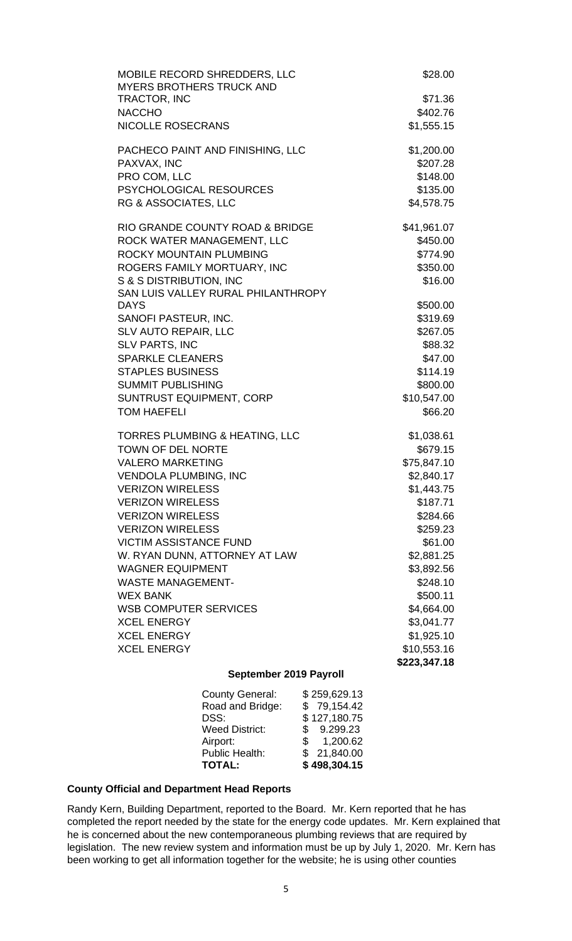| MOBILE RECORD SHREDDERS, LLC<br><b>MYERS BROTHERS TRUCK AND</b> | \$28.00                |  |
|-----------------------------------------------------------------|------------------------|--|
| TRACTOR, INC                                                    | \$71.36                |  |
| <b>NACCHO</b><br><b>NICOLLE ROSECRANS</b>                       | \$402.76<br>\$1,555.15 |  |
|                                                                 |                        |  |
| PACHECO PAINT AND FINISHING, LLC                                | \$1,200.00             |  |
| PAXVAX, INC                                                     | \$207.28               |  |
| PRO COM, LLC                                                    | \$148.00               |  |
| PSYCHOLOGICAL RESOURCES                                         | \$135.00               |  |
| RG & ASSOCIATES, LLC                                            | \$4,578.75             |  |
| RIO GRANDE COUNTY ROAD & BRIDGE                                 | \$41,961.07            |  |
| ROCK WATER MANAGEMENT, LLC                                      | \$450.00               |  |
| ROCKY MOUNTAIN PLUMBING                                         | \$774.90               |  |
| ROGERS FAMILY MORTUARY, INC                                     | \$350.00               |  |
| S & S DISTRIBUTION, INC<br>SAN LUIS VALLEY RURAL PHILANTHROPY   | \$16.00                |  |
| <b>DAYS</b>                                                     | \$500.00               |  |
| SANOFI PASTEUR, INC.                                            | \$319.69               |  |
| <b>SLV AUTO REPAIR, LLC</b>                                     | \$267.05               |  |
| <b>SLV PARTS, INC</b>                                           | \$88.32                |  |
| <b>SPARKLE CLEANERS</b>                                         | \$47.00                |  |
| <b>STAPLES BUSINESS</b>                                         | \$114.19               |  |
| <b>SUMMIT PUBLISHING</b>                                        | \$800.00               |  |
| <b>SUNTRUST EQUIPMENT, CORP</b>                                 | \$10,547.00            |  |
| <b>TOM HAEFELI</b>                                              | \$66.20                |  |
| <b>TORRES PLUMBING &amp; HEATING, LLC</b>                       | \$1,038.61             |  |
| <b>TOWN OF DEL NORTE</b>                                        | \$679.15               |  |
| <b>VALERO MARKETING</b>                                         | \$75,847.10            |  |
| <b>VENDOLA PLUMBING, INC</b>                                    | \$2,840.17             |  |
| <b>VERIZON WIRELESS</b>                                         | \$1,443.75             |  |
| <b>VERIZON WIRELESS</b>                                         | \$187.71               |  |
| <b>VERIZON WIRELESS</b>                                         | \$284.66               |  |
| <b>VERIZON WIRELESS</b><br><b>VICTIM ASSISTANCE FUND</b>        | \$259.23<br>\$61.00    |  |
| W. RYAN DUNN, ATTORNEY AT LAW                                   | \$2,881.25             |  |
| <b>WAGNER EQUIPMENT</b>                                         | \$3,892.56             |  |
| <b>WASTE MANAGEMENT-</b>                                        | \$248.10               |  |
| <b>WEX BANK</b>                                                 | \$500.11               |  |
| <b>WSB COMPUTER SERVICES</b>                                    | \$4,664.00             |  |
| <b>XCEL ENERGY</b>                                              | \$3,041.77             |  |
| <b>XCEL ENERGY</b>                                              | \$1,925.10             |  |
| <b>XCEL ENERGY</b>                                              | \$10,553.16            |  |
|                                                                 | \$223,347.18           |  |
| September 2019 Payroll                                          |                        |  |

| <b>County General:</b> | \$259,629.13 |
|------------------------|--------------|
| Road and Bridge:       | \$79,154.42  |
| DSS:                   | \$127,180.75 |
| <b>Weed District:</b>  | \$9.299.23   |
| Airport:               | \$ 1,200.62  |
| Public Health:         | \$21,840.00  |
| <b>TOTAL:</b>          | \$498,304.15 |
|                        |              |

# **County Official and Department Head Reports**

Randy Kern, Building Department, reported to the Board. Mr. Kern reported that he has completed the report needed by the state for the energy code updates. Mr. Kern explained that he is concerned about the new contemporaneous plumbing reviews that are required by legislation. The new review system and information must be up by July 1, 2020. Mr. Kern has been working to get all information together for the website; he is using other counties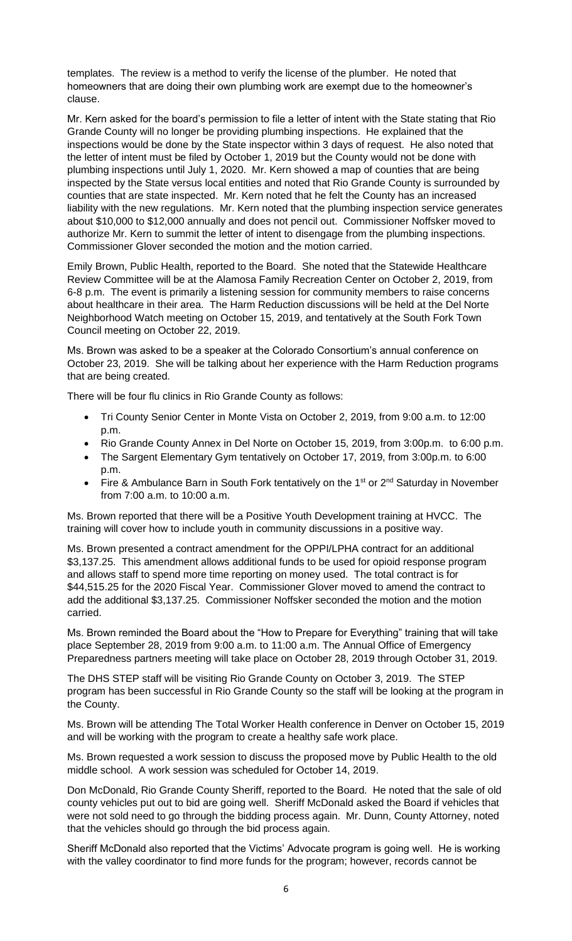templates. The review is a method to verify the license of the plumber. He noted that homeowners that are doing their own plumbing work are exempt due to the homeowner's clause.

Mr. Kern asked for the board's permission to file a letter of intent with the State stating that Rio Grande County will no longer be providing plumbing inspections. He explained that the inspections would be done by the State inspector within 3 days of request. He also noted that the letter of intent must be filed by October 1, 2019 but the County would not be done with plumbing inspections until July 1, 2020. Mr. Kern showed a map of counties that are being inspected by the State versus local entities and noted that Rio Grande County is surrounded by counties that are state inspected. Mr. Kern noted that he felt the County has an increased liability with the new regulations. Mr. Kern noted that the plumbing inspection service generates about \$10,000 to \$12,000 annually and does not pencil out. Commissioner Noffsker moved to authorize Mr. Kern to summit the letter of intent to disengage from the plumbing inspections. Commissioner Glover seconded the motion and the motion carried.

Emily Brown, Public Health, reported to the Board. She noted that the Statewide Healthcare Review Committee will be at the Alamosa Family Recreation Center on October 2, 2019, from 6-8 p.m. The event is primarily a listening session for community members to raise concerns about healthcare in their area. The Harm Reduction discussions will be held at the Del Norte Neighborhood Watch meeting on October 15, 2019, and tentatively at the South Fork Town Council meeting on October 22, 2019.

Ms. Brown was asked to be a speaker at the Colorado Consortium's annual conference on October 23, 2019. She will be talking about her experience with the Harm Reduction programs that are being created.

There will be four flu clinics in Rio Grande County as follows:

- Tri County Senior Center in Monte Vista on October 2, 2019, from 9:00 a.m. to 12:00 p.m.
- Rio Grande County Annex in Del Norte on October 15, 2019, from 3:00p.m. to 6:00 p.m.
- The Sargent Elementary Gym tentatively on October 17, 2019, from 3:00p.m. to 6:00 p.m.
- Fire & Ambulance Barn in South Fork tentatively on the 1<sup>st</sup> or 2<sup>nd</sup> Saturday in November from 7:00 a.m. to 10:00 a.m.

Ms. Brown reported that there will be a Positive Youth Development training at HVCC. The training will cover how to include youth in community discussions in a positive way.

Ms. Brown presented a contract amendment for the OPPI/LPHA contract for an additional \$3,137.25. This amendment allows additional funds to be used for opioid response program and allows staff to spend more time reporting on money used. The total contract is for \$44,515.25 for the 2020 Fiscal Year. Commissioner Glover moved to amend the contract to add the additional \$3,137.25. Commissioner Noffsker seconded the motion and the motion carried.

Ms. Brown reminded the Board about the "How to Prepare for Everything" training that will take place September 28, 2019 from 9:00 a.m. to 11:00 a.m. The Annual Office of Emergency Preparedness partners meeting will take place on October 28, 2019 through October 31, 2019.

The DHS STEP staff will be visiting Rio Grande County on October 3, 2019. The STEP program has been successful in Rio Grande County so the staff will be looking at the program in the County.

Ms. Brown will be attending The Total Worker Health conference in Denver on October 15, 2019 and will be working with the program to create a healthy safe work place.

Ms. Brown requested a work session to discuss the proposed move by Public Health to the old middle school. A work session was scheduled for October 14, 2019.

Don McDonald, Rio Grande County Sheriff, reported to the Board. He noted that the sale of old county vehicles put out to bid are going well. Sheriff McDonald asked the Board if vehicles that were not sold need to go through the bidding process again. Mr. Dunn, County Attorney, noted that the vehicles should go through the bid process again.

Sheriff McDonald also reported that the Victims' Advocate program is going well. He is working with the valley coordinator to find more funds for the program; however, records cannot be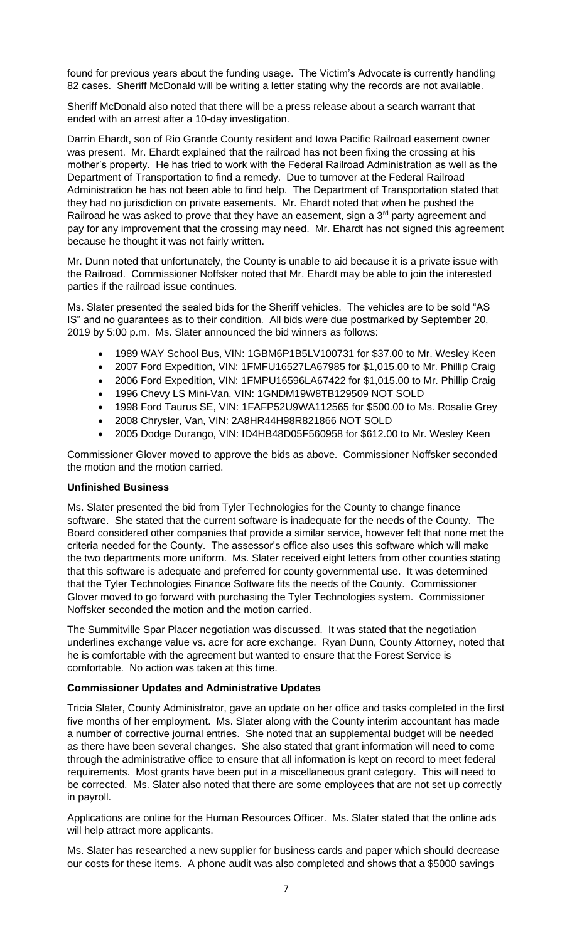found for previous years about the funding usage. The Victim's Advocate is currently handling 82 cases. Sheriff McDonald will be writing a letter stating why the records are not available.

Sheriff McDonald also noted that there will be a press release about a search warrant that ended with an arrest after a 10-day investigation.

Darrin Ehardt, son of Rio Grande County resident and Iowa Pacific Railroad easement owner was present. Mr. Ehardt explained that the railroad has not been fixing the crossing at his mother's property. He has tried to work with the Federal Railroad Administration as well as the Department of Transportation to find a remedy. Due to turnover at the Federal Railroad Administration he has not been able to find help. The Department of Transportation stated that they had no jurisdiction on private easements. Mr. Ehardt noted that when he pushed the Railroad he was asked to prove that they have an easement, sign a  $3<sup>rd</sup>$  party agreement and pay for any improvement that the crossing may need. Mr. Ehardt has not signed this agreement because he thought it was not fairly written.

Mr. Dunn noted that unfortunately, the County is unable to aid because it is a private issue with the Railroad. Commissioner Noffsker noted that Mr. Ehardt may be able to join the interested parties if the railroad issue continues.

Ms. Slater presented the sealed bids for the Sheriff vehicles. The vehicles are to be sold "AS IS" and no guarantees as to their condition. All bids were due postmarked by September 20, 2019 by 5:00 p.m. Ms. Slater announced the bid winners as follows:

- 1989 WAY School Bus, VIN: 1GBM6P1B5LV100731 for \$37.00 to Mr. Wesley Keen
- 2007 Ford Expedition, VIN: 1FMFU16527LA67985 for \$1,015.00 to Mr. Phillip Craig
- 2006 Ford Expedition, VIN: 1FMPU16596LA67422 for \$1,015.00 to Mr. Phillip Craig
- 1996 Chevy LS Mini-Van, VIN: 1GNDM19W8TB129509 NOT SOLD
- 1998 Ford Taurus SE, VIN: 1FAFP52U9WA112565 for \$500.00 to Ms. Rosalie Grey
- 2008 Chrysler, Van, VIN: 2A8HR44H98R821866 NOT SOLD
- 2005 Dodge Durango, VIN: ID4HB48D05F560958 for \$612.00 to Mr. Wesley Keen

Commissioner Glover moved to approve the bids as above. Commissioner Noffsker seconded the motion and the motion carried.

# **Unfinished Business**

Ms. Slater presented the bid from Tyler Technologies for the County to change finance software. She stated that the current software is inadequate for the needs of the County. The Board considered other companies that provide a similar service, however felt that none met the criteria needed for the County. The assessor's office also uses this software which will make the two departments more uniform. Ms. Slater received eight letters from other counties stating that this software is adequate and preferred for county governmental use. It was determined that the Tyler Technologies Finance Software fits the needs of the County. Commissioner Glover moved to go forward with purchasing the Tyler Technologies system. Commissioner Noffsker seconded the motion and the motion carried.

The Summitville Spar Placer negotiation was discussed. It was stated that the negotiation underlines exchange value vs. acre for acre exchange. Ryan Dunn, County Attorney, noted that he is comfortable with the agreement but wanted to ensure that the Forest Service is comfortable. No action was taken at this time.

## **Commissioner Updates and Administrative Updates**

Tricia Slater, County Administrator, gave an update on her office and tasks completed in the first five months of her employment. Ms. Slater along with the County interim accountant has made a number of corrective journal entries. She noted that an supplemental budget will be needed as there have been several changes. She also stated that grant information will need to come through the administrative office to ensure that all information is kept on record to meet federal requirements. Most grants have been put in a miscellaneous grant category. This will need to be corrected. Ms. Slater also noted that there are some employees that are not set up correctly in payroll.

Applications are online for the Human Resources Officer. Ms. Slater stated that the online ads will help attract more applicants.

Ms. Slater has researched a new supplier for business cards and paper which should decrease our costs for these items. A phone audit was also completed and shows that a \$5000 savings